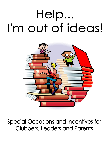# Help... I'm out of ideas!



**Special Occasions and Incentives for Clubbers, Leaders and Parents**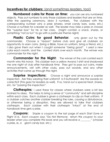## **Incentives for clubbers:** (and sometimes leaders, too!)

**Numbered coins for those on time:** you can use any numbered objects. Pass out numbers to only those clubbers and leaders that are on time. After the opening ceremony, draw 3 numbers. The clubbers with the corresponding number wins a prize (shares, small candy bars, soda, etc.) Choose a number for a leader as well. The leader may take a prize or choose the "surprise box" for his or her class. (might contain a snack, shares, or something "not so fun" to go with a particular theme night)

**Plastic Coins for good Behavior:** only given out by the commander. Choose a "reason" before club and give all clubbers an opportunity to earn coins. (bring a Bible, have on uniform, bring a friend, etc.) I also gave them out when I caught someone "being good". I used a new color each month, and the contest starts over each month. The winner was commander for the night.

**Commander for the Night:** The winner of the coin contest each month wins this honor. This clubber won a yellow Awana t-shirt and shadowed me one night of club after handbook time. They got to pass out coins, make announcements, visit with other clubs, pass out awards, and any other activities that came up through the night.

**Surprise Inspections:** Choose a night and announce a surprise inspection. Are they wearing their uniform? Is it buttoned? Are the awards on correctly? (This goes for leaders as well). If so, hand out a special treat, shares, etc. for "passing the inspection".

**Clothespins:** I used these for classes where clubbers were a bit less inclined to obey. This helps to bring a sense of "community" and self-discipline within each class. Each clubber is given a clothespin to clip on their uniform. If a clubber catches another clubber breaking the rules, causing a disturbance, or otherwise being a disruption, they are allowed to take that clubbers clothespin. Each clubber with their clothespin "intact" at the end of handbook time gets a prize.

**Coupons:** Staple a coupon to the last page of each Start Zone or Flight 3:16. Each coupon says "Do Not Remove: return this coupon to your leader when you complete this book and you will receive a \_\_\_\_\_\_\_\_" (choose a prize, ie. a giant candy bar, etc.)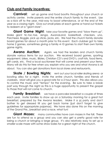# **Club and Family Incentives:**

**Carnival:** set up game and food booths throughout your church or activity center. Invite parents and the entire church family to the event. Use as a kick off to the year, mid-way to boost attendance, or at the end of the year as a closing night. Give out small prizes at each game or hand out tickets to redeem at a "giant store".

**Giant Game Night:** take your favorite games and "blow them up". Make giant tic-tac-toe, Jenga, AwanaLand, basketball, checkers, uno, Parcheesi, Boggle, pick up sticks, jacks, etc. We had the church family donate board games for about a month prior to this event. Each clubber got to take home 2 games, sometimes giving a family 4-10 games to start their own family game nights.

**Awana Auction:** Again, we had the leaders and church family donate various items for our auction. We received board games, sporting equipment, bikes, music, Bibles, Christian CD's and DVD's, craft kits, food items, gift cards, etc. Find a local auctioneer that will come and present your items. Many will do this for free when you explain who you are and what Awana is all about. You can also get donations from local stores and restaurants.

**Skate / Bowling Nights:** rent out your local roller skating arena or bowling alley for a night. Invite the entire church, families and friends of clubbers. Most will give you a good rate for a 2 hour span. This also allows you to control the music and "tempo" for the evening. Be sure to take a break part way through the night as this is a huge opportunity to present the gospel to those that will not come to church.

**Family Breakfast:** we have a pancake breakfast a couple of times each year. Invite families to show up on a Saturday morning for a great hot breakfast, prepared by the Awana leaders. Make it a pj party and don't bother to get dressed till you get back home (just don't forget to give guidelines for appropriate pajamas). We have also done this on the morning of the Grand Prix...breakfast and a race, what fun!

**Giant Mazes:** many communities have corn mazes in the fall. These are fun to attend as a group and you can also get a pretty good rate for being a church or bringing a large group. It's also relatively easy to set up a smaller scale maze with some straw bales for a great night at the church.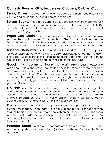# **Contests: Boys vs. Girls, Leaders vs. Clubbers, Club vs. Club**

**Penny Drives:** collect money over the course of a month and present it to your Awana missionary or special community project

**Burger Bucks:** as each clubber passes a section, they are presented with a ticket. They write their name on it and put it in a designated box. Ticket(s) are pulled at the end of a designated time frame and winners are presented with Burger King gift cards.

**Paper Clip Chain:** hang a paper clip from the ceiling. As clubbers pass a section, they add a paper clip to the chain. The first chain that reaches the floor is the winner. This can be done individually with jumbo clips, or as a club vs. club contest. Use colored paper clips in Awana colors for an added touch.

**Baseball Bonanza:** print out individual baseball diamonds and a player for each clubber. For every 2 sections said, clubbers advance their "player" one base. Keep score as they cross home plate each time. Let the contest run for a set period of time and see who scores the most runs.

**Good things come to those that wait:** Take a series of boxes and wrap one inside of the other. The smallest box in the middle has the final prize. Each week, set a goal for the number of sections the entire club must say to unwrap the outer box. When they finally unwrap the smallest box, the prize is revealed. It could be a pizza party, special night, bonus shares for all, or something a bit bigger….pie in the face of the commander or pastor….use your imagination.

**Go Fish:** for each section clubbers say, their name goes on a paper goldfish and goes into a giant fish bowl or aquarium. At the end of designated time period, one or more names are drawn for a prize...a giant box of goldfish crackers, Swedish fish, or any number of options. A bowl can be set up for each grade level, by club or just as an individual incentive.

Puzzlemania: teams are set up, either boys vs. girls, club vs. club, or clubbers vs. leaders. Each team is given a 50 piece puzzle. For each section said, clubbers are given a puzzle piece with his or her name on it. The team with the most puzzles put together at the end of the contest wins. Also, the boy and girl with the most puzzle pieces with their name on it wins a gift card to a local store, etc.

**Popcorn Boxes:** make giant popcorn boxes from cardboard. For each section completed, add one balloon (white and yellow). First team to fill the box...wins.